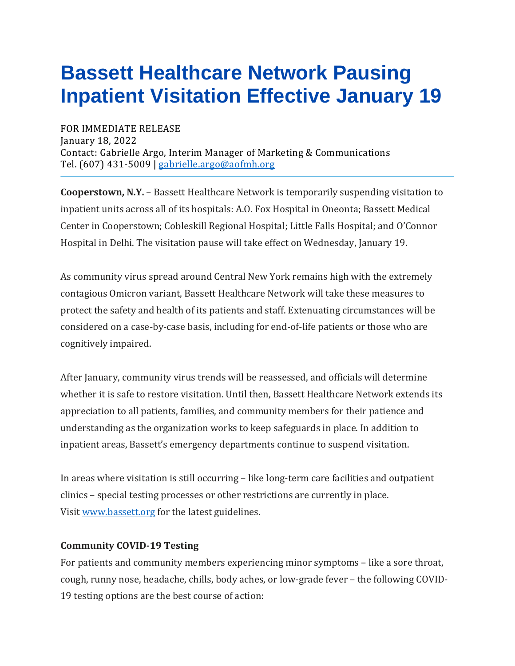## **Bassett Healthcare Network Pausing Inpatient Visitation Effective January 19**

FOR IMMEDIATE RELEASE January 18, 2022 Contact: Gabrielle Argo, Interim Manager of Marketing & Communications Tel. (607) 431-5009 | [gabrielle.argo@aofmh.org](mailto:gabrielle.argo@aofmh.org)

**Cooperstown, N.Y.** – Bassett Healthcare Network is temporarily suspending visitation to inpatient units across all of its hospitals: A.O. Fox Hospital in Oneonta; Bassett Medical Center in Cooperstown; Cobleskill Regional Hospital; Little Falls Hospital; and O'Connor Hospital in Delhi. The visitation pause will take effect on Wednesday, January 19.

As community virus spread around Central New York remains high with the extremely contagious Omicron variant, Bassett Healthcare Network will take these measures to protect the safety and health of its patients and staff. Extenuating circumstances will be considered on a case-by-case basis, including for end-of-life patients or those who are cognitively impaired.

After January, community virus trends will be reassessed, and officials will determine whether it is safe to restore visitation. Until then, Bassett Healthcare Network extends its appreciation to all patients, families, and community members for their patience and understanding as the organization works to keep safeguards in place. In addition to inpatient areas, Bassett's emergency departments continue to suspend visitation.

In areas where visitation is still occurring – like long-term care facilities and outpatient clinics – special testing processes or other restrictions are currently in place. Visit [www.bassett.org](https://nam12.safelinks.protection.outlook.com/?url=http%3A%2F%2Fwww.bassett.org%2F&data=04%7C01%7CLeslie.Parmerter%40townsquaremedia.com%7C20e4e9df26d14f65869808d9dac24145%7Ca473edd8ba254f04a0a8e8ad25c19632%7C0%7C0%7C637781350121251032%7CUnknown%7CTWFpbGZsb3d8eyJWIjoiMC4wLjAwMDAiLCJQIjoiV2luMzIiLCJBTiI6Ik1haWwiLCJXVCI6Mn0%3D%7C3000&sdata=TVLPcE459eS6GE3MkDYQodUUkRD1UQKXp1MfiE%2BaDY0%3D&reserved=0) for the latest guidelines.

## **Community COVID-19 Testing**

For patients and community members experiencing minor symptoms – like a sore throat, cough, runny nose, headache, chills, body aches, or low-grade fever – the following COVID-19 testing options are the best course of action: